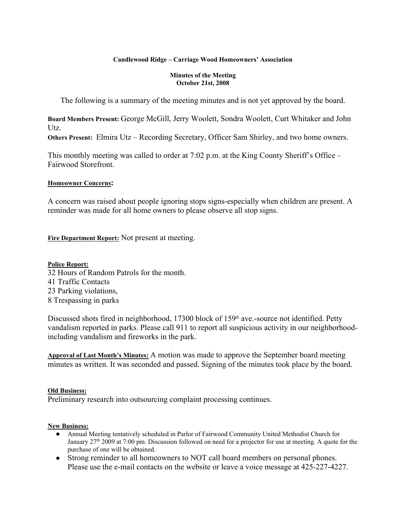#### **Candlewood Ridge – Carriage Wood Homeowners' Association**

#### **Minutes of the Meeting October 21st, 2008**

The following is a summary of the meeting minutes and is not yet approved by the board.

**Board Members Present:** George McGill, Jerry Woolett, Sondra Woolett, Curt Whitaker and John Utz.

**Others Present:** Elmira Utz – Recording Secretary, Officer Sam Shirley, and two home owners.

This monthly meeting was called to order at 7:02 p.m. at the King County Sheriff's Office – Fairwood Storefront.

#### **Homeowner Concerns:**

A concern was raised about people ignoring stops signs-especially when children are present. A reminder was made for all home owners to please observe all stop signs.

**Fire Department Report:** Not present at meeting.

#### **Police Report:**

- 32 Hours of Random Patrols for the month.
- 41 Traffic Contacts
- 23 Parking violations,
- 8 Trespassing in parks

Discussed shots fired in neighborhood, 17300 block of  $159<sup>th</sup>$  ave.-source not identified. Petty vandalism reported in parks. Please call 911 to report all suspicious activity in our neighborhoodincluding vandalism and fireworks in the park.

**Approval of Last Month's Minutes:** A motion was made to approve the September board meeting minutes as written. It was seconded and passed. Signing of the minutes took place by the board.

#### **Old Business:**

Preliminary research into outsourcing complaint processing continues.

#### **New Business:**

- Annual Meeting tentatively scheduled in Parlor of Fairwood Community United Methodist Church for January  $27<sup>th</sup> 2009$  at 7:00 pm. Discussion followed on need for a projector for use at meeting. A quote for the purchase of one will be obtained.
- Strong reminder to all homeowners to NOT call board members on personal phones. Please use the e-mail contacts on the website or leave a voice message at 425-227-4227.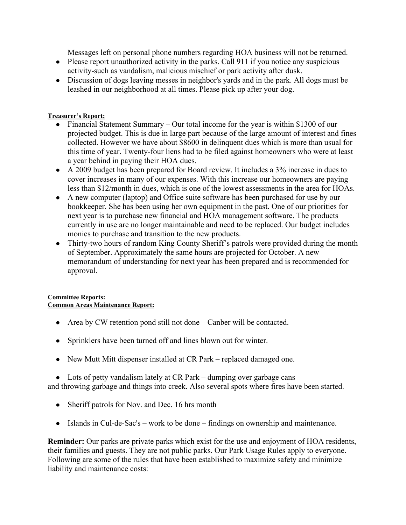Messages left on personal phone numbers regarding HOA business will not be returned.

- Please report unauthorized activity in the parks. Call 911 if you notice any suspicious activity-such as vandalism, malicious mischief or park activity after dusk.
- Discussion of dogs leaving messes in neighbor's yards and in the park. All dogs must be leashed in our neighborhood at all times. Please pick up after your dog.

# **Treasurer's Report:**

- Financial Statement Summary Our total income for the year is within \$1300 of our projected budget. This is due in large part because of the large amount of interest and fines collected. However we have about \$8600 in delinquent dues which is more than usual for this time of year. Twenty-four liens had to be filed against homeowners who were at least a year behind in paying their HOA dues.
- A 2009 budget has been prepared for Board review. It includes a 3% increase in dues to cover increases in many of our expenses. With this increase our homeowners are paying less than \$12/month in dues, which is one of the lowest assessments in the area for HOAs.
- A new computer (laptop) and Office suite software has been purchased for use by our bookkeeper. She has been using her own equipment in the past. One of our priorities for next year is to purchase new financial and HOA management software. The products currently in use are no longer maintainable and need to be replaced. Our budget includes monies to purchase and transition to the new products.
- Thirty-two hours of random King County Sheriff's patrols were provided during the month of September. Approximately the same hours are projected for October. A new memorandum of understanding for next year has been prepared and is recommended for approval.

#### **Committee Reports: Common Areas Maintenance Report:**

- Area by CW retention pond still not done Canber will be contacted.
- Sprinklers have been turned off and lines blown out for winter.
- New Mutt Mitt dispenser installed at CR Park replaced damaged one.

• Lots of petty vandalism lately at CR Park – dumping over garbage cans and throwing garbage and things into creek. Also several spots where fires have been started.

- Sheriff patrols for Nov. and Dec. 16 hrs month
- Islands in Cul-de-Sac's work to be done findings on ownership and maintenance.

**Reminder:** Our parks are private parks which exist for the use and enjoyment of HOA residents, their families and guests. They are not public parks. Our Park Usage Rules apply to everyone. Following are some of the rules that have been established to maximize safety and minimize liability and maintenance costs: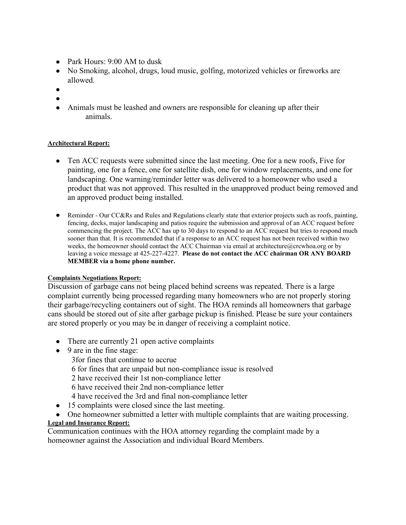- Park Hours: 9:00 AM to dusk
- No Smoking, alcohol, drugs, loud music, golfing, motorized vehicles or fireworks are allowed.
- ●
- Animals must be leashed and owners are responsible for cleaning up after their animals.

# **Architectural Report:**

- Ten ACC requests were submitted since the last meeting. One for a new roofs, Five for painting, one for a fence, one for satellite dish, one for window replacements, and one for landscaping. One warning/reminder letter was delivered to a homeowner who used a product that was not approved. This resulted in the unapproved product being removed and an approved product being installed.
- Reminder Our CC&Rs and Rules and Regulations clearly state that exterior projects such as roofs, painting, fencing, decks, major landscaping and patios require the submission and approval of an ACC request before commencing the project. The ACC has up to 30 days to respond to an ACC request but tries to respond much sooner than that. It is recommended that if a response to an ACC request has not been received within two weeks, the homeowner should contact the ACC Chairman via email at architecture@crcwhoa.org or by leaving a voice message at 425-227-4227. **Please do not contact the ACC chairman OR ANY BOARD MEMBER via a home phone number.**

# **Complaints Negotiations Report:**

Discussion of garbage cans not being placed behind screens was repeated. There is a large complaint currently being processed regarding many homeowners who are not properly storing their garbage/recycling containers out of sight. The HOA reminds all homeowners that garbage cans should be stored out of site after garbage pickup is finished. Please be sure your containers are stored properly or you may be in danger of receiving a complaint notice.

- There are currently 21 open active complaints
- 9 are in the fine stage:
	- 3for fines that continue to accrue
	- 6 for fines that are unpaid but non-compliance issue is resolved
	- 2 have received their 1st non-compliance letter
	- 6 have received their 2nd non-compliance letter
	- 4 have received the 3rd and final non-compliance letter
- 15 complaints were closed since the last meeting.
- One homeowner submitted a letter with multiple complaints that are waiting processing.

# **Legal and Insurance Report:**

Communication continues with the HOA attorney regarding the complaint made by a homeowner against the Association and individual Board Members.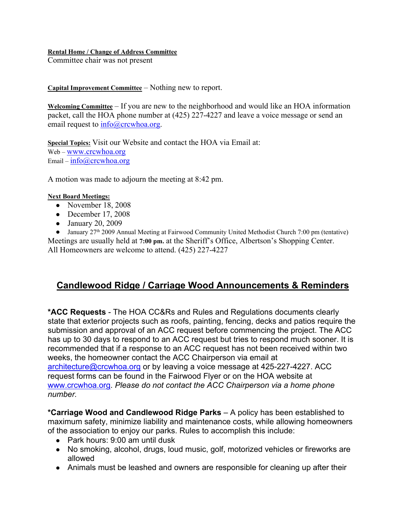### **Rental Home / Change of Address Committee**

Committee chair was not present

**Capital Improvement Committee** – Nothing new to report.

**Welcoming Committee** – If you are new to the neighborhood and would like an HOA information packet, call the HOA phone number at (425) 227-4227 and leave a voice message or send an email request to  $info@crcwhoa.org$ .

**Special Topics:** Visit our Website and contact the HOA via Email at: Web – www.crcwhoa.org Email –  $info@crcwhoa.org$ 

A motion was made to adjourn the meeting at 8:42 pm.

# **Next Board Meetings:**

- November 18, 2008
- December 17, 2008
- January 20, 2009

● January 27<sup>th</sup> 2009 Annual Meeting at Fairwood Community United Methodist Church 7:00 pm (tentative) Meetings are usually held at **7:00 pm.** at the Sheriff's Office, Albertson's Shopping Center. All Homeowners are welcome to attend. (425) 227-4227

# **Candlewood Ridge / Carriage Wood Announcements & Reminders**

**\*ACC Requests** - The HOA CC&Rs and Rules and Regulations documents clearly state that exterior projects such as roofs, painting, fencing, decks and patios require the submission and approval of an ACC request before commencing the project. The ACC has up to 30 days to respond to an ACC request but tries to respond much sooner. It is recommended that if a response to an ACC request has not been received within two weeks, the homeowner contact the ACC Chairperson via email at architecture@crcwhoa.org or by leaving a voice message at 425-227-4227. ACC request forms can be found in the Fairwood Flyer or on the HOA website at www.crcwhoa.org. *Please do not contact the ACC Chairperson via a home phone number.*

**\*Carriage Wood and Candlewood Ridge Parks** – A policy has been established to maximum safety, minimize liability and maintenance costs, while allowing homeowners of the association to enjoy our parks. Rules to accomplish this include:

- Park hours: 9:00 am until dusk
- No smoking, alcohol, drugs, loud music, golf, motorized vehicles or fireworks are allowed
- Animals must be leashed and owners are responsible for cleaning up after their